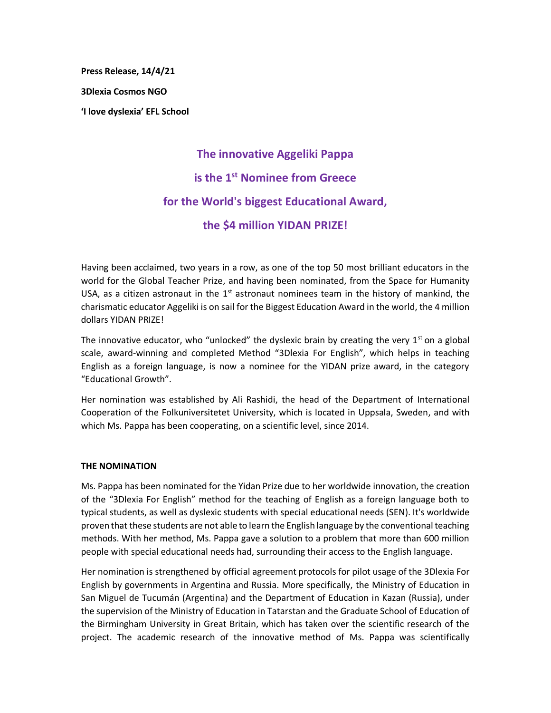**Press Release, 14/4/21 3Dlexia Cosmos NGO 'Ι love dyslexia' EFL School**

# **The innovative Aggeliki Pappa is the 1st Nominee from Greece for the World's biggest Educational Award, the \$4 million YIDAN PRIZE!**

Having been acclaimed, two years in a row, as one of the top 50 most brilliant educators in the world for the Global Teacher Prize, and having been nominated, from the Space for Humanity USA, as a citizen astronaut in the  $1<sup>st</sup>$  astronaut nominees team in the history of mankind, the charismatic educator Aggeliki is on sail for the Biggest Education Award in the world, the 4 million dollars YIDAN PRIZE!

The innovative educator, who "unlocked" the dyslexic brain by creating the very  $1<sup>st</sup>$  on a global scale, award-winning and completed Method "3Dlexia For English", which helps in teaching English as a foreign language, is now a nominee for the YIDAN prize award, in the category "Educational Growth".

Her nomination was established by Ali Rashidi, the head of the Department of International Cooperation of the Folkuniversitetet University, which is located in Uppsala, Sweden, and with which Ms. Pappa has been cooperating, on a scientific level, since 2014.

## **THE NOMINATION**

Ms. Pappa has been nominated for the Yidan Prize due to her worldwide innovation, the creation of the "3Dlexia For English" method for the teaching of English as a foreign language both to typical students, as well as dyslexic students with special educational needs (SEN). It's worldwide proven that these students are not able to learn the English language by the conventional teaching methods. With her method, Ms. Pappa gave a solution to a problem that more than 600 million people with special educational needs had, surrounding their access to the English language.

Her nomination is strengthened by official agreement protocols for pilot usage of the 3Dlexia For English by governments in Argentina and Russia. More specifically, the Ministry of Education in San Miguel de Tucumán (Argentina) and the Department of Education in Kazan (Russia), under the supervision of the Ministry of Education in Tatarstan and the Graduate School of Education of the Birmingham University in Great Britain, which has taken over the scientific research of the project. The academic research of the innovative method of Ms. Pappa was scientifically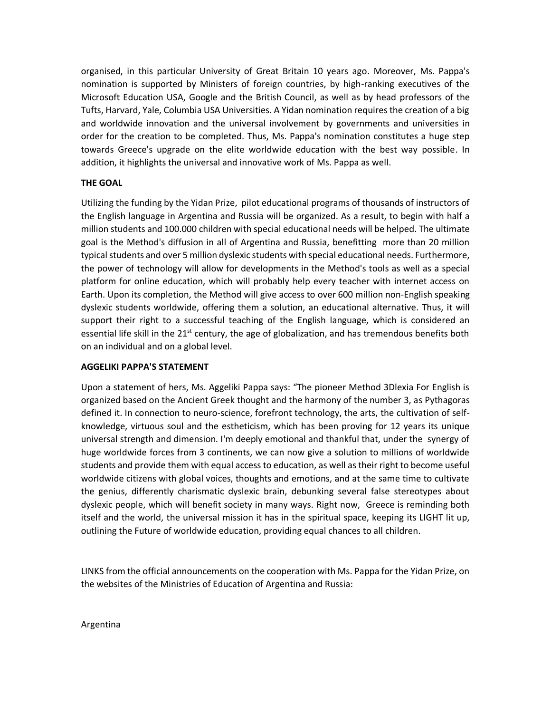organised, in this particular University of Great Britain 10 years ago. Moreover, Ms. Pappa's nomination is supported by Ministers of foreign countries, by high-ranking executives of the Microsoft Education USA, Google and the British Council, as well as by head professors of the Tufts, Harvard, Yale, Columbia USA Universities. A Yidan nomination requires the creation of a big and worldwide innovation and the universal involvement by governments and universities in order for the creation to be completed. Thus, Ms. Pappa's nomination constitutes a huge step towards Greece's upgrade on the elite worldwide education with the best way possible. In addition, it highlights the universal and innovative work of Ms. Pappa as well.

## **THE GOAL**

Utilizing the funding by the Yidan Prize, pilot educational programs of thousands of instructors of the English language in Argentina and Russia will be organized. As a result, to begin with half a million students and 100.000 children with special educational needs will be helped. The ultimate goal is the Method's diffusion in all of Argentina and Russia, benefitting more than 20 million typical students and over 5 million dyslexic students with special educational needs. Furthermore, the power of technology will allow for developments in the Method's tools as well as a special platform for online education, which will probably help every teacher with internet access on Earth. Upon its completion, the Method will give access to over 600 million non-English speaking dyslexic students worldwide, offering them a solution, an educational alternative. Thus, it will support their right to a successful teaching of the English language, which is considered an essential life skill in the  $21<sup>st</sup>$  century, the age of globalization, and has tremendous benefits both on an individual and on a global level.

## **AGGELIKI PAPPA'S STATEMENT**

Upon a statement of hers, Ms. Aggeliki Pappa says: "The pioneer Method 3Dlexia For English is organized based on the Ancient Greek thought and the harmony of the number 3, as Pythagoras defined it. In connection to neuro-science, forefront technology, the arts, the cultivation of selfknowledge, virtuous soul and the estheticism, which has been proving for 12 years its unique universal strength and dimension. I'm deeply emotional and thankful that, under the synergy of huge worldwide forces from 3 continents, we can now give a solution to millions of worldwide students and provide them with equal access to education, as well as their right to become useful worldwide citizens with global voices, thoughts and emotions, and at the same time to cultivate the genius, differently charismatic dyslexic brain, debunking several false stereotypes about dyslexic people, which will benefit society in many ways. Right now, Greece is reminding both itself and the world, the universal mission it has in the spiritual space, keeping its LIGHT lit up, outlining the Future of worldwide education, providing equal chances to all children.

LINKS from the official announcements on the cooperation with Ms. Pappa for the Yidan Prize, on the websites of the Ministries of Education of Argentina and Russia:

Argentina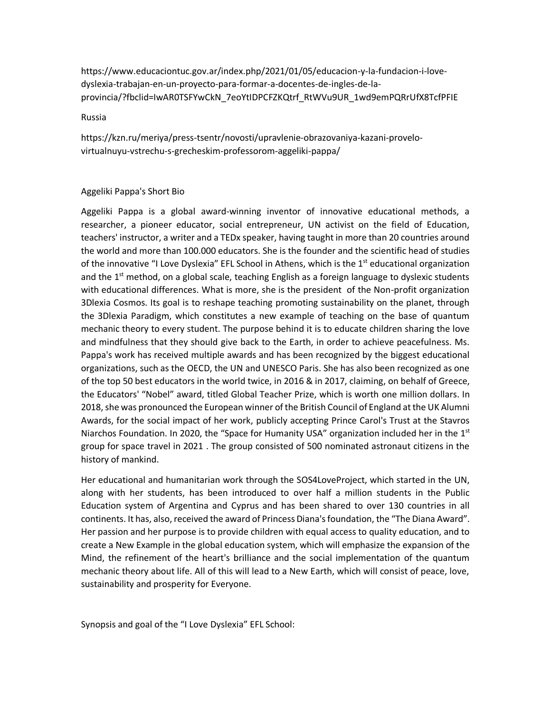https://www.educaciontuc.gov.ar/index.php/2021/01/05/educacion-y-la-fundacion-i-lovedyslexia-trabajan-en-un-proyecto-para-formar-a-docentes-de-ingles-de-laprovincia/?fbclid=IwAR0TSFYwCkN\_7eoYtIDPCFZKQtrf\_RtWVu9UR\_1wd9emPQRrUfX8TcfPFIE

### Russia

https://kzn.ru/meriya/press-tsentr/novosti/upravlenie-obrazovaniya-kazani-provelovirtualnuyu-vstrechu-s-grecheskim-professorom-aggeliki-pappa/

## Aggeliki Pappa's Short Bio

Aggeliki Pappa is a global award-winning inventor of innovative educational methods, a researcher, a pioneer educator, social entrepreneur, UN activist on the field of Education, teachers' instructor, a writer and a TEDx speaker, having taught in more than 20 countries around the world and more than 100.000 educators. She is the founder and the scientific head of studies of the innovative "I Love Dyslexia" EFL School in Athens, which is the 1<sup>st</sup> educational organization and the  $1<sup>st</sup>$  method, on a global scale, teaching English as a foreign language to dyslexic students with educational differences. What is more, she is the president of the Non-profit organization 3Dlexia Cosmos. Its goal is to reshape teaching promoting sustainability on the planet, through the 3Dlexia Paradigm, which constitutes a new example of teaching on the base of quantum mechanic theory to every student. The purpose behind it is to educate children sharing the love and mindfulness that they should give back to the Earth, in order to achieve peacefulness. Ms. Pappa's work has received multiple awards and has been recognized by the biggest educational organizations, such as the OECD, the UN and UNESCO Paris. She has also been recognized as one of the top 50 best educators in the world twice, in 2016 & in 2017, claiming, on behalf of Greece, the Educators' "Nobel" award, titled Global Teacher Prize, which is worth one million dollars. In 2018, she was pronounced the European winner of the British Council of England at the UK Alumni Awards, for the social impact of her work, publicly accepting Prince Carol's Trust at the Stavros Niarchos Foundation. In 2020, the "Space for Humanity USA" organization included her in the  $1<sup>st</sup>$ group for space travel in 2021 . The group consisted of 500 nominated astronaut citizens in the history of mankind.

Her educational and humanitarian work through the SOS4LoveProject, which started in the UN, along with her students, has been introduced to over half a million students in the Public Education system of Argentina and Cyprus and has been shared to over 130 countries in all continents. It has, also, received the award of Princess Diana's foundation, the "The Diana Award". Her passion and her purpose is to provide children with equal access to quality education, and to create a New Example in the global education system, which will emphasize the expansion of the Mind, the refinement of the heart's brilliance and the social implementation of the quantum mechanic theory about life. All of this will lead to a New Earth, which will consist of peace, love, sustainability and prosperity for Everyone.

Synopsis and goal of the "I Love Dyslexia" EFL School: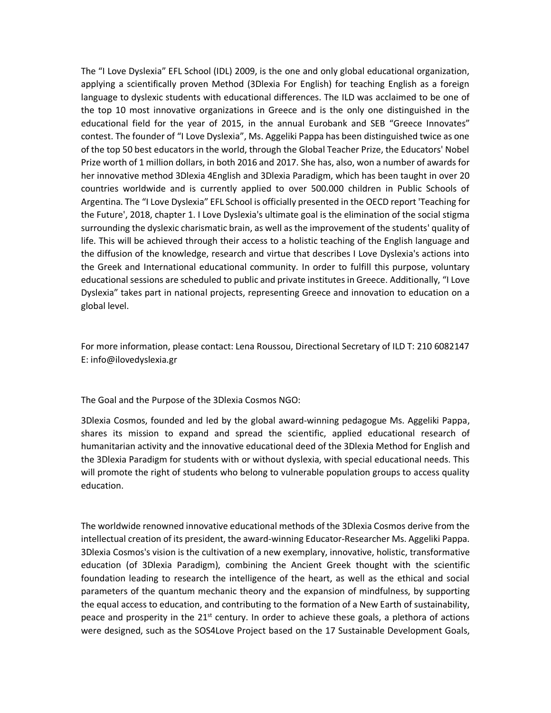The "I Love Dyslexia" EFL School (IDL) 2009, is the one and only global educational organization, applying a scientifically proven Method (3Dlexia For English) for teaching English as a foreign language to dyslexic students with educational differences. The ILD was acclaimed to be one of the top 10 most innovative organizations in Greece and is the only one distinguished in the educational field for the year of 2015, in the annual Eurobank and SEB "Greece Innovates" contest. The founder of "I Love Dyslexia", Ms. Aggeliki Pappa has been distinguished twice as one of the top 50 best educators in the world, through the Global Teacher Prize, the Educators' Nobel Prize worth of 1 million dollars, in both 2016 and 2017. She has, also, won a number of awards for her innovative method 3Dlexia 4English and 3Dlexia Paradigm, which has been taught in over 20 countries worldwide and is currently applied to over 500.000 children in Public Schools of Argentina. The "I Love Dyslexia" EFL School is officially presented in the OECD report 'Teaching for the Future', 2018, chapter 1. I Love Dyslexia's ultimate goal is the elimination of the social stigma surrounding the dyslexic charismatic brain, as well as the improvement of the students' quality of life. This will be achieved through their access to a holistic teaching of the English language and the diffusion of the knowledge, research and virtue that describes I Love Dyslexia's actions into the Greek and International educational community. In order to fulfill this purpose, voluntary educational sessions are scheduled to public and private institutes in Greece. Additionally, "I Love Dyslexia" takes part in national projects, representing Greece and innovation to education on a global level.

For more information, please contact: Lena Roussou, Directional Secretary of ΙLD Τ: 210 6082147 Ε: info@ilovedyslexia.gr

The Goal and the Purpose of the 3Dlexia Cosmos NGO:

3Dlexia Cosmos, founded and led by the global award-winning pedagogue Ms. Aggeliki Pappa, shares its mission to expand and spread the scientific, applied educational research of humanitarian activity and the innovative educational deed of the 3Dlexia Method for English and the 3Dlexia Paradigm for students with or without dyslexia, with special educational needs. This will promote the right of students who belong to vulnerable population groups to access quality education.

The worldwide renowned innovative educational methods of the 3Dlexia Cosmos derive from the intellectual creation of its president, the award-winning Educator-Researcher Ms. Aggeliki Pappa. 3Dlexia Cosmos's vision is the cultivation of a new exemplary, innovative, holistic, transformative education (of 3Dlexia Paradigm), combining the Ancient Greek thought with the scientific foundation leading to research the intelligence of the heart, as well as the ethical and social parameters of the quantum mechanic theory and the expansion of mindfulness, by supporting the equal access to education, and contributing to the formation of a New Earth of sustainability, peace and prosperity in the  $21<sup>st</sup>$  century. In order to achieve these goals, a plethora of actions were designed, such as the SOS4Love Project based on the 17 Sustainable Development Goals,